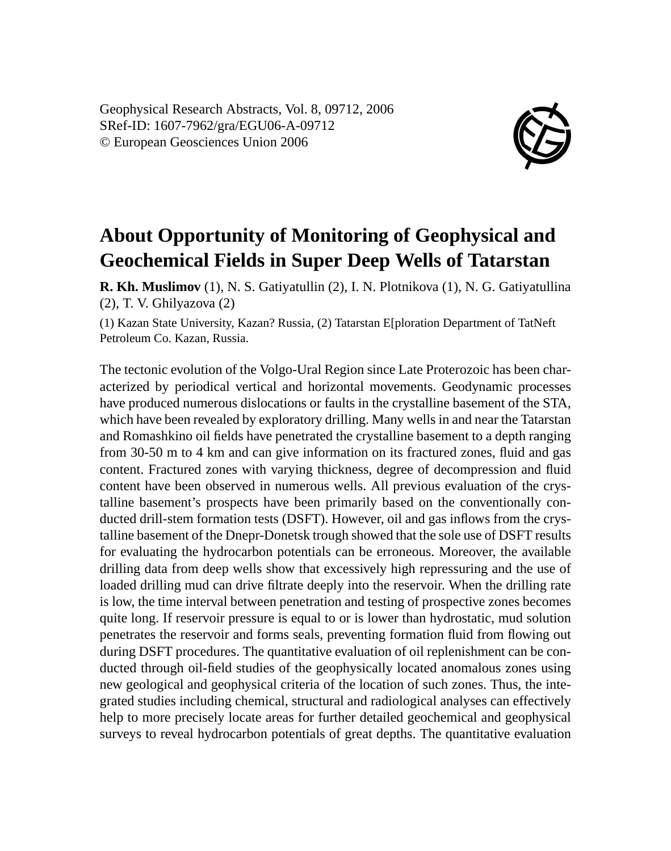Geophysical Research Abstracts, Vol. 8, 09712, 2006 SRef-ID: 1607-7962/gra/EGU06-A-09712 © European Geosciences Union 2006



## **About Opportunity of Monitoring of Geophysical and Geochemical Fields in Super Deep Wells of Tatarstan**

**R. Kh. Muslimov** (1), N. S. Gatiyatullin (2), I. N. Plotnikova (1), N. G. Gatiyatullina (2), T. V. Ghilyazova (2)

(1) Kazan State University, Kazan? Russia, (2) Tatarstan E[ploration Department of TatNeft Petroleum Co. Kazan, Russia.

The tectonic evolution of the Volgo-Ural Region since Late Proterozoic has been characterized by periodical vertical and horizontal movements. Geodynamic processes have produced numerous dislocations or faults in the crystalline basement of the STA, which have been revealed by exploratory drilling. Many wells in and near the Tatarstan and Romashkino oil fields have penetrated the crystalline basement to a depth ranging from 30-50 m to 4 km and can give information on its fractured zones, fluid and gas content. Fractured zones with varying thickness, degree of decompression and fluid content have been observed in numerous wells. All previous evaluation of the crystalline basement's prospects have been primarily based on the conventionally conducted drill-stem formation tests (DSFT). However, oil and gas inflows from the crystalline basement of the Dnepr-Donetsk trough showed that the sole use of DSFT results for evaluating the hydrocarbon potentials can be erroneous. Moreover, the available drilling data from deep wells show that excessively high repressuring and the use of loaded drilling mud can drive filtrate deeply into the reservoir. When the drilling rate is low, the time interval between penetration and testing of prospective zones becomes quite long. If reservoir pressure is equal to or is lower than hydrostatic, mud solution penetrates the reservoir and forms seals, preventing formation fluid from flowing out during DSFT procedures. The quantitative evaluation of oil replenishment can be conducted through oil-field studies of the geophysically located anomalous zones using new geological and geophysical criteria of the location of such zones. Thus, the integrated studies including chemical, structural and radiological analyses can effectively help to more precisely locate areas for further detailed geochemical and geophysical surveys to reveal hydrocarbon potentials of great depths. The quantitative evaluation